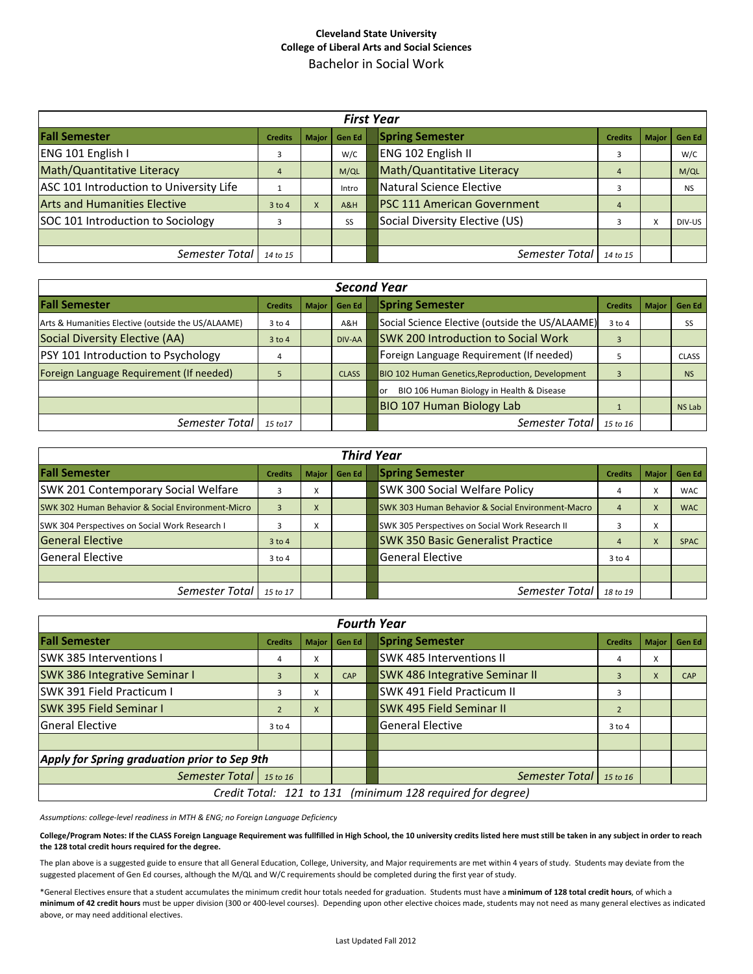## **Cleveland State University College of Liberal Arts and Social Sciences** Bachelor in Social Work

| <b>First Year</b>                       |                |              |           |  |                                    |                |              |               |  |  |  |
|-----------------------------------------|----------------|--------------|-----------|--|------------------------------------|----------------|--------------|---------------|--|--|--|
| <b>Fall Semester</b>                    | <b>Credits</b> | <b>Maior</b> | Gen Ed    |  | <b>Spring Semester</b>             | <b>Credits</b> | <b>Maior</b> | <b>Gen Ed</b> |  |  |  |
| ENG 101 English I                       |                |              | W/C       |  | ENG 102 English II                 |                |              | W/C           |  |  |  |
| Math/Quantitative Literacy              | $\overline{4}$ |              | M/QL      |  | Math/Quantitative Literacy         | $\overline{4}$ |              | M/QL          |  |  |  |
| ASC 101 Introduction to University Life |                |              | Intro     |  | <b>Natural Science Elective</b>    |                |              | <b>NS</b>     |  |  |  |
| <b>Arts and Humanities Elective</b>     | $3$ to 4       | X            | A&H       |  | <b>PSC 111 American Government</b> | $\overline{4}$ |              |               |  |  |  |
| SOC 101 Introduction to Sociology       |                |              | <b>SS</b> |  | Social Diversity Elective (US)     |                | x            | DIV-US        |  |  |  |
|                                         |                |              |           |  |                                    |                |              |               |  |  |  |
| Semester Total                          | 14 to 15       |              |           |  | Semester Total                     | 14 to 15       |              |               |  |  |  |

| <b>Second Year</b>                                 |                |              |               |  |                                                   |                |              |               |  |  |  |
|----------------------------------------------------|----------------|--------------|---------------|--|---------------------------------------------------|----------------|--------------|---------------|--|--|--|
| <b>Fall Semester</b>                               | <b>Credits</b> | <b>Major</b> | <b>Gen Ed</b> |  | <b>Spring Semester</b>                            | <b>Credits</b> | <b>Maior</b> | <b>Gen Ed</b> |  |  |  |
| Arts & Humanities Elective (outside the US/ALAAME) | $3$ to $4$     |              | A&H           |  | Social Science Elective (outside the US/ALAAME)   | $3$ to $4$     |              | SS            |  |  |  |
| Social Diversity Elective (AA)                     | $3$ to 4       |              | DIV-AA        |  | <b>SWK 200 Introduction to Social Work</b>        | 3              |              |               |  |  |  |
| PSY 101 Introduction to Psychology                 | 4              |              |               |  | Foreign Language Requirement (If needed)          |                |              | <b>CLASS</b>  |  |  |  |
| Foreign Language Requirement (If needed)           |                |              | <b>CLASS</b>  |  | BIO 102 Human Genetics, Reproduction, Development |                |              | <b>NS</b>     |  |  |  |
|                                                    |                |              |               |  | BIO 106 Human Biology in Health & Disease<br>or   |                |              |               |  |  |  |
|                                                    |                |              |               |  | <b>BIO 107 Human Biology Lab</b>                  |                |              | <b>NS Lab</b> |  |  |  |
| Semester Total                                     | 15 to 17       |              |               |  | Semester Total                                    | 15 to 16       |              |               |  |  |  |

| <b>Third Year</b>                                            |                |              |        |  |                                                              |                |                               |               |  |  |  |
|--------------------------------------------------------------|----------------|--------------|--------|--|--------------------------------------------------------------|----------------|-------------------------------|---------------|--|--|--|
| <b>Fall Semester</b>                                         | <b>Credits</b> | <b>Major</b> | Gen Ed |  | <b>Spring Semester</b>                                       | <b>Credits</b> | <b>Major</b>                  | <b>Gen Ed</b> |  |  |  |
| <b>SWK 201 Contemporary Social Welfare</b>                   | 3              | A            |        |  | <b>SWK 300 Social Welfare Policy</b>                         |                | $\overline{\phantom{a}}$<br>^ | <b>WAC</b>    |  |  |  |
| <b>SWK 302 Human Behavior &amp; Social Environment-Micro</b> | $\overline{a}$ | X            |        |  | <b>SWK 303 Human Behavior &amp; Social Environment-Macro</b> |                | X                             | <b>WAC</b>    |  |  |  |
| SWK 304 Perspectives on Social Work Research I               |                | x            |        |  | SWK 305 Perspectives on Social Work Research II              |                | v<br>$\lambda$                |               |  |  |  |
| <b>General Elective</b>                                      | $3$ to 4       |              |        |  | <b>SWK 350 Basic Generalist Practice</b>                     |                | X                             | <b>SPAC</b>   |  |  |  |
| <b>General Elective</b>                                      | $3$ to $4$     |              |        |  | <b>General Elective</b>                                      | $3$ to 4       |                               |               |  |  |  |
|                                                              |                |              |        |  |                                                              |                |                               |               |  |  |  |
| Semester Total                                               | 15 to 17       |              |        |  | Semester Total                                               | 18 to 19       |                               |               |  |  |  |

| <b>Fourth Year</b>                                         |                |         |               |  |                                       |                |              |            |  |  |  |
|------------------------------------------------------------|----------------|---------|---------------|--|---------------------------------------|----------------|--------------|------------|--|--|--|
| <b>Fall Semester</b>                                       | <b>Credits</b> | Maior I | <b>Gen Ed</b> |  | <b>Spring Semester</b>                | <b>Credits</b> | <b>Major</b> | Gen Ed     |  |  |  |
| <b>SWK 385 Interventions I</b>                             | 4              | x       |               |  | <b>SWK 485 Interventions II</b>       | 4              | X            |            |  |  |  |
| <b>SWK 386 Integrative Seminar I</b>                       | 3              | X       | CAP           |  | <b>SWK 486 Integrative Seminar II</b> |                | X            | <b>CAP</b> |  |  |  |
| SWK 391 Field Practicum I                                  | 3              | x       |               |  | SWK 491 Field Practicum II            | 3              |              |            |  |  |  |
| <b>SWK 395 Field Seminar I</b>                             |                | X       |               |  | <b>SWK 495 Field Seminar II</b>       |                |              |            |  |  |  |
| <b>Gneral Elective</b>                                     | $3$ to $4$     |         |               |  | <b>General Elective</b>               | $3$ to $4$     |              |            |  |  |  |
|                                                            |                |         |               |  |                                       |                |              |            |  |  |  |
| Apply for Spring graduation prior to Sep 9th               |                |         |               |  |                                       |                |              |            |  |  |  |
| Semester Total                                             | 15 to 16       |         |               |  | Semester Total                        | 15 to 16       |              |            |  |  |  |
| Credit Total: 121 to 131 (minimum 128 required for degree) |                |         |               |  |                                       |                |              |            |  |  |  |

*Assumptions: college‐level readiness in MTH & ENG; no Foreign Language Deficiency*

College/Program Notes: If the CLASS Foreign Language Requirement was fullfilled in High School, the 10 university credits listed here must still be taken in any subject in order to reach **the 128 total credit hours required for the degree.**

The plan above is a suggested guide to ensure that all General Education, College, University, and Major requirements are met within 4 years of study. Students may deviate from the suggested placement of Gen Ed courses, although the M/QL and W/C requirements should be completed during the first year of study.

\*General Electives ensure that a student accumulates the minimum credit hour totals needed for graduation. Students must have a**minimum of 128 total credit hours**, of which a **minimum of 42 credit hours** must be upper division (300 or 400‐level courses). Depending upon other elective choices made, students may not need as many general electives as indicated above, or may need additional electives.